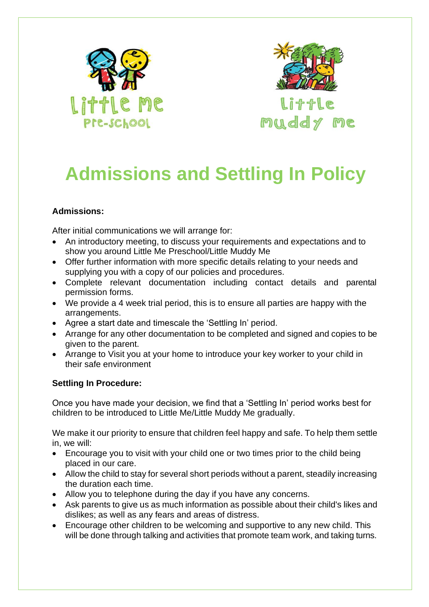



**Little** muddy me

## **Admissions and Settling In Policy**

## **Admissions:**

After initial communications we will arrange for:

- An introductory meeting, to discuss your requirements and expectations and to show you around Little Me Preschool/Little Muddy Me
- Offer further information with more specific details relating to your needs and supplying you with a copy of our policies and procedures.
- Complete relevant documentation including contact details and parental permission forms.
- We provide a 4 week trial period, this is to ensure all parties are happy with the arrangements.
- Agree a start date and timescale the 'Settling In' period.
- Arrange for any other documentation to be completed and signed and copies to be given to the parent.
- Arrange to Visit you at your home to introduce your key worker to your child in their safe environment

## **Settling In Procedure:**

Once you have made your decision, we find that a 'Settling In' period works best for children to be introduced to Little Me/Little Muddy Me gradually.

We make it our priority to ensure that children feel happy and safe. To help them settle in, we will:

- Encourage you to visit with your child one or two times prior to the child being placed in our care.
- Allow the child to stay for several short periods without a parent, steadily increasing the duration each time.
- Allow you to telephone during the day if you have any concerns.
- Ask parents to give us as much information as possible about their child's likes and dislikes; as well as any fears and areas of distress.
- Encourage other children to be welcoming and supportive to any new child. This will be done through talking and activities that promote team work, and taking turns.